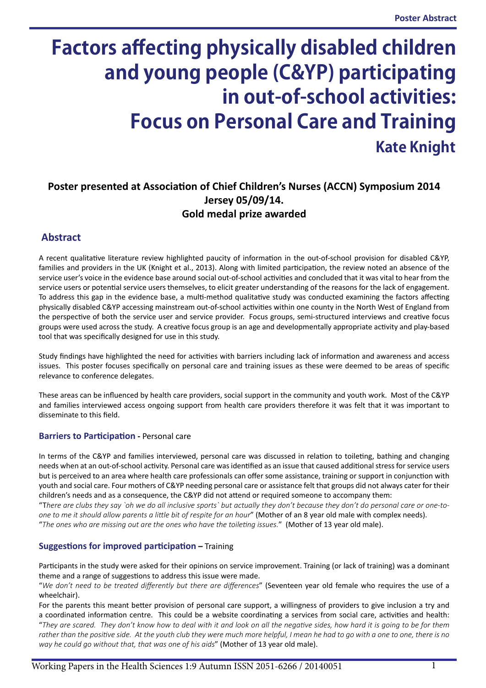# **Factors affecting physically disabled children and young people (C&YP) participating in out-of-school activities: Focus on Personal Care and Training Kate Knight**

# **Poster presented at Association of Chief Children's Nurses (ACCN) Symposium 2014 Jersey 05/09/14. Gold medal prize awarded**

## **Abstract**

A recent qualitative literature review highlighted paucity of information in the out-of-school provision for disabled C&YP, families and providers in the UK (Knight et al., 2013). Along with limited participation, the review noted an absence of the service user's voice in the evidence base around social out-of-school activities and concluded that it was vital to hear from the service users or potential service users themselves, to elicit greater understanding of the reasons for the lack of engagement. To address this gap in the evidence base, a multi-method qualitative study was conducted examining the factors affecting physically disabled C&YP accessing mainstream out-of-school activities within one county in the North West of England from the perspective of both the service user and service provider. Focus groups, semi-structured interviews and creative focus groups were used across the study. A creative focus group is an age and developmentally appropriate activity and play-based tool that was specifically designed for use in this study.

Study findings have highlighted the need for activities with barriers including lack of information and awareness and access issues. This poster focuses specifically on personal care and training issues as these were deemed to be areas of specific relevance to conference delegates.

These areas can be influenced by health care providers, social support in the community and youth work. Most of the C&YP and families interviewed access ongoing support from health care providers therefore it was felt that it was important to disseminate to this field.

## **Barriers to Participation -** Personal care

In terms of the C&YP and families interviewed, personal care was discussed in relation to toileting, bathing and changing needs when at an out-of-school activity. Personal care was identified as an issue that caused additional stress for service users but is perceived to an area where health care professionals can offer some assistance, training or support in conjunction with youth and social care. Four mothers of C&YP needing personal care or assistance felt that groups did not always cater for their children's needs and as a consequence, the C&YP did not attend or required someone to accompany them:

"T*here are clubs they say `oh we do all inclusive sports` but actually they don't because they don't do personal care or one-toone to me it should allow parents a little bit of respite for an hour*" (Mother of an 8 year old male with complex needs). "*The ones who are missing out are the ones who have the toileting issues.*" (Mother of 13 year old male).

## **Suggestions for improved participation –** Training

Participants in the study were asked for their opinions on service improvement. Training (or lack of training) was a dominant theme and a range of suggestions to address this issue were made.

"*We don't need to be treated differently but there are differences*" (Seventeen year old female who requires the use of a wheelchair).

For the parents this meant better provision of personal care support, a willingness of providers to give inclusion a try and a coordinated information centre. This could be a website coordinating a services from social care, activities and health: "*They are scared. They don't know how to deal with it and look on all the negative sides, how hard it is going to be for them rather than the positive side. At the youth club they were much more helpful, I mean he had to go with a one to one, there is no way he could go without that, that was one of his aids*" (Mother of 13 year old male).